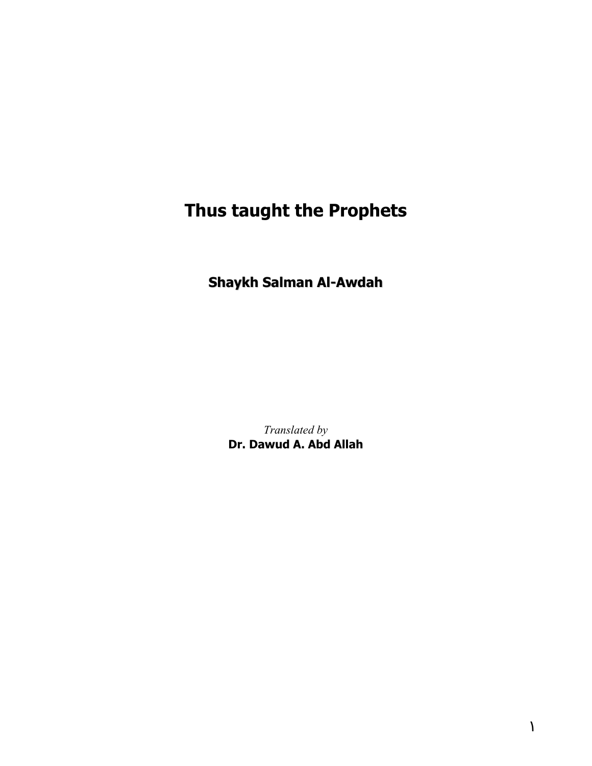# **Thus taught the Prophets**

**Shaykh Salman Al-Awdah**

*Translated by*  **Dr. Dawud A. Abd Allah**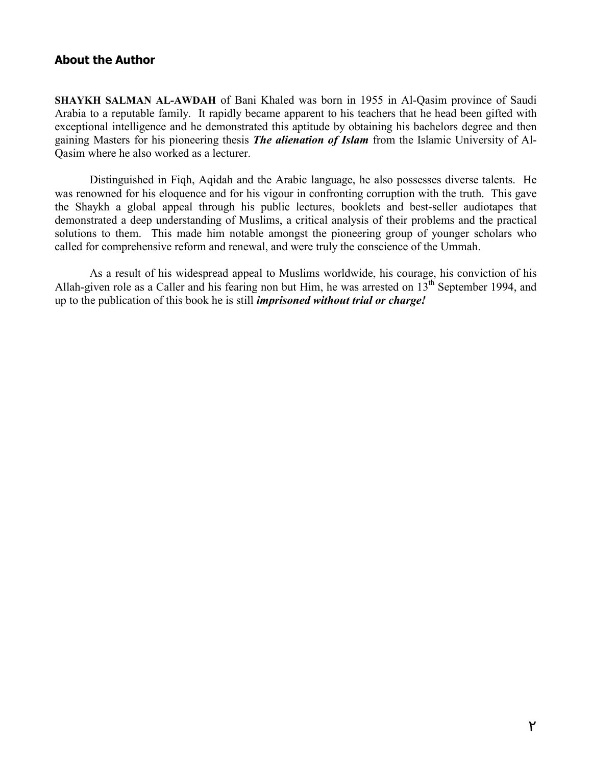## **About the Author**

**SHAYKH SALMAN AL-AWDAH** of Bani Khaled was born in 1955 in Al-Qasim province of Saudi Arabia to a reputable family. It rapidly became apparent to his teachers that he head been gifted with exceptional intelligence and he demonstrated this aptitude by obtaining his bachelors degree and then gaining Masters for his pioneering thesis *The alienation of Islam* from the Islamic University of Al-Qasim where he also worked as a lecturer.

 Distinguished in Fiqh, Aqidah and the Arabic language, he also possesses diverse talents. He was renowned for his eloquence and for his vigour in confronting corruption with the truth. This gave the Shaykh a global appeal through his public lectures, booklets and best-seller audiotapes that demonstrated a deep understanding of Muslims, a critical analysis of their problems and the practical solutions to them. This made him notable amongst the pioneering group of younger scholars who called for comprehensive reform and renewal, and were truly the conscience of the Ummah.

 As a result of his widespread appeal to Muslims worldwide, his courage, his conviction of his Allah-given role as a Caller and his fearing non but Him, he was arrested on  $13<sup>th</sup>$  September 1994, and up to the publication of this book he is still *imprisoned without trial or charge!*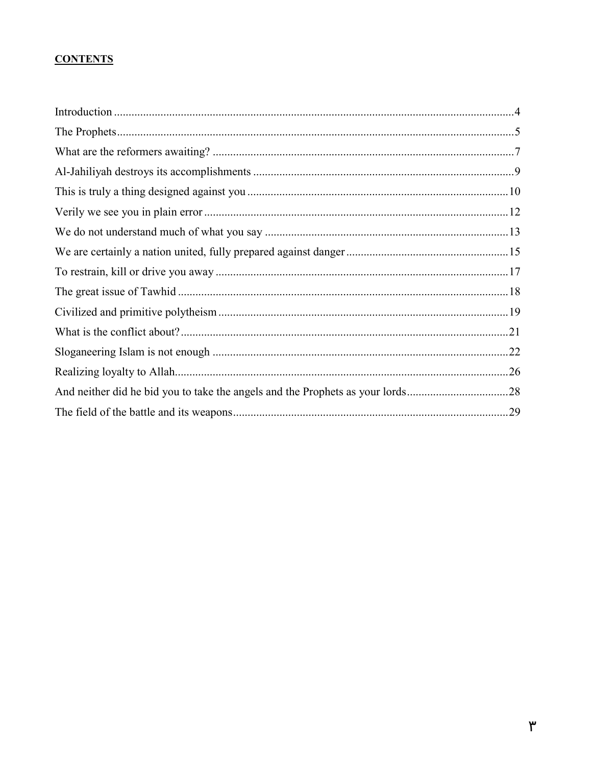# **CONTENTS**

| And neither did he bid you to take the angels and the Prophets as your lords28 |  |
|--------------------------------------------------------------------------------|--|
|                                                                                |  |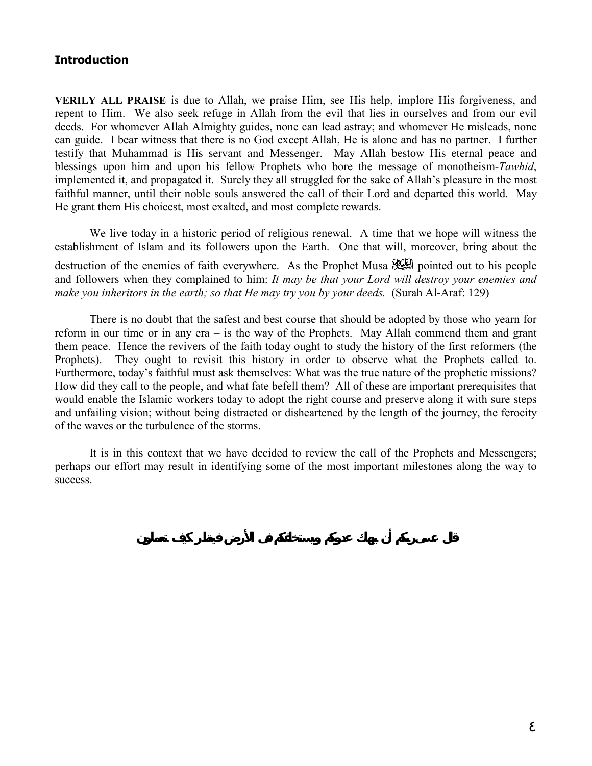## **Introduction**

**VERILY ALL PRAISE** is due to Allah, we praise Him, see His help, implore His forgiveness, and repent to Him. We also seek refuge in Allah from the evil that lies in ourselves and from our evil deeds. For whomever Allah Almighty guides, none can lead astray; and whomever He misleads, none can guide. I bear witness that there is no God except Allah, He is alone and has no partner. I further testify that Muhammad is His servant and Messenger. May Allah bestow His eternal peace and blessings upon him and upon his fellow Prophets who bore the message of monotheism-*Tawhid*, implemented it, and propagated it. Surely they all struggled for the sake of Allah's pleasure in the most faithful manner, until their noble souls answered the call of their Lord and departed this world. May He grant them His choicest, most exalted, and most complete rewards.

 We live today in a historic period of religious renewal. A time that we hope will witness the establishment of Islam and its followers upon the Earth. One that will, moreover, bring about the destruction of the enemies of faith everywhere. As the Prophet Musa التَّكِيلُ pointed out to his people and followers when they complained to him: *It may be that your Lord will destroy your enemies and make you inheritors in the earth; so that He may try you by your deeds.* (Surah Al-Araf: 129)

 There is no doubt that the safest and best course that should be adopted by those who yearn for reform in our time or in any era – is the way of the Prophets. May Allah commend them and grant them peace. Hence the revivers of the faith today ought to study the history of the first reformers (the Prophets). They ought to revisit this history in order to observe what the Prophets called to. Furthermore, today's faithful must ask themselves: What was the true nature of the prophetic missions? How did they call to the people, and what fate befell them? All of these are important prerequisites that would enable the Islamic workers today to adopt the right course and preserve along it with sure steps and unfailing vision; without being distracted or disheartened by the length of the journey, the ferocity of the waves or the turbulence of the storms.

 It is in this context that we have decided to review the call of the Prophets and Messengers; perhaps our effort may result in identifying some of the most important milestones along the way to success.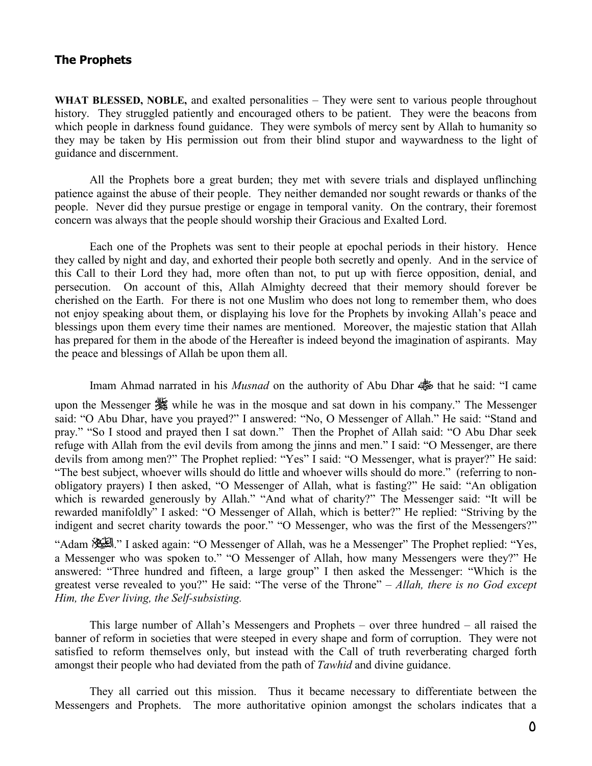# **The Prophets**

**WHAT BLESSED, NOBLE,** and exalted personalities – They were sent to various people throughout history. They struggled patiently and encouraged others to be patient. They were the beacons from which people in darkness found guidance. They were symbols of mercy sent by Allah to humanity so they may be taken by His permission out from their blind stupor and waywardness to the light of guidance and discernment.

 All the Prophets bore a great burden; they met with severe trials and displayed unflinching patience against the abuse of their people. They neither demanded nor sought rewards or thanks of the people. Never did they pursue prestige or engage in temporal vanity. On the contrary, their foremost concern was always that the people should worship their Gracious and Exalted Lord.

 Each one of the Prophets was sent to their people at epochal periods in their history. Hence they called by night and day, and exhorted their people both secretly and openly. And in the service of this Call to their Lord they had, more often than not, to put up with fierce opposition, denial, and persecution. On account of this, Allah Almighty decreed that their memory should forever be cherished on the Earth. For there is not one Muslim who does not long to remember them, who does not enjoy speaking about them, or displaying his love for the Prophets by invoking Allah's peace and blessings upon them every time their names are mentioned. Moreover, the majestic station that Allah has prepared for them in the abode of the Hereafter is indeed beyond the imagination of aspirants. May the peace and blessings of Allah be upon them all.

Imam Ahmad narrated in his *Musnad* on the authority of Abu Dhar  $\frac{1}{20}$  that he said: "I came

upon the Messenger  $\frac{1}{25}$  while he was in the mosque and sat down in his company." The Messenger said: "O Abu Dhar, have you prayed?" I answered: "No, O Messenger of Allah." He said: "Stand and pray." "So I stood and prayed then I sat down." Then the Prophet of Allah said: "O Abu Dhar seek refuge with Allah from the evil devils from among the jinns and men." I said: "O Messenger, are there devils from among men?" The Prophet replied: "Yes" I said: "O Messenger, what is prayer?" He said: "The best subject, whoever wills should do little and whoever wills should do more." (referring to nonobligatory prayers) I then asked, "O Messenger of Allah, what is fasting?" He said: "An obligation which is rewarded generously by Allah." "And what of charity?" The Messenger said: "It will be rewarded manifoldly" I asked: "O Messenger of Allah, which is better?" He replied: "Striving by the indigent and secret charity towards the poor." "O Messenger, who was the first of the Messengers?"

"Adam X." I asked again: "O Messenger of Allah, was he a Messenger" The Prophet replied: "Yes, a Messenger who was spoken to." "O Messenger of Allah, how many Messengers were they?" He answered: "Three hundred and fifteen, a large group" I then asked the Messenger: "Which is the greatest verse revealed to you?" He said: "The verse of the Throne" – *Allah, there is no God except Him, the Ever living, the Self-subsisting.*

 This large number of Allah's Messengers and Prophets – over three hundred – all raised the banner of reform in societies that were steeped in every shape and form of corruption. They were not satisfied to reform themselves only, but instead with the Call of truth reverberating charged forth amongst their people who had deviated from the path of *Tawhid* and divine guidance.

 They all carried out this mission. Thus it became necessary to differentiate between the Messengers and Prophets. The more authoritative opinion amongst the scholars indicates that a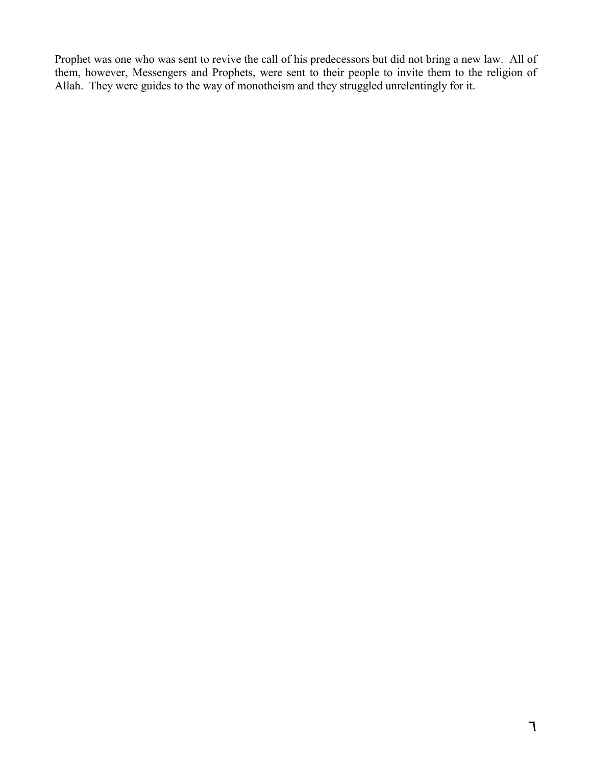Prophet was one who was sent to revive the call of his predecessors but did not bring a new law. All of them, however, Messengers and Prophets, were sent to their people to invite them to the religion of Allah. They were guides to the way of monotheism and they struggled unrelentingly for it.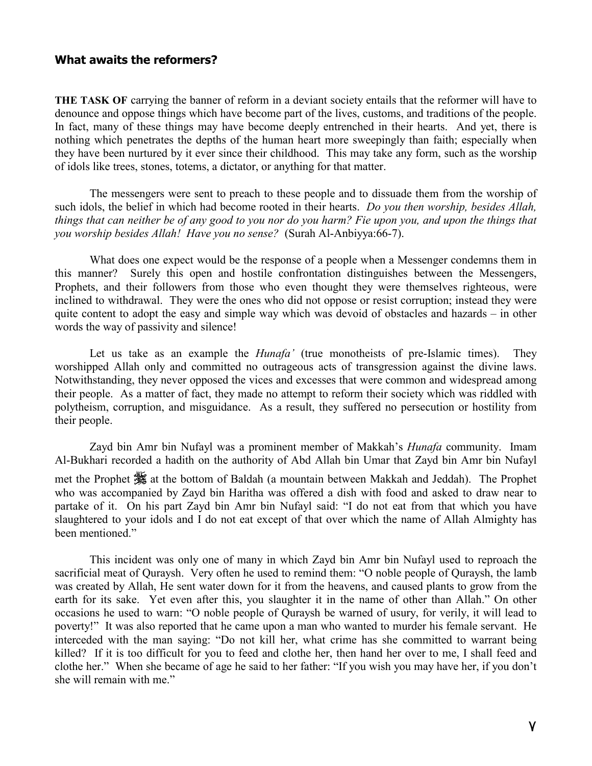#### **What awaits the reformers?**

**THE TASK OF** carrying the banner of reform in a deviant society entails that the reformer will have to denounce and oppose things which have become part of the lives, customs, and traditions of the people. In fact, many of these things may have become deeply entrenched in their hearts. And yet, there is nothing which penetrates the depths of the human heart more sweepingly than faith; especially when they have been nurtured by it ever since their childhood. This may take any form, such as the worship of idols like trees, stones, totems, a dictator, or anything for that matter.

 The messengers were sent to preach to these people and to dissuade them from the worship of such idols, the belief in which had become rooted in their hearts. *Do you then worship, besides Allah, things that can neither be of any good to you nor do you harm? Fie upon you, and upon the things that you worship besides Allah! Have you no sense?* (Surah Al-Anbiyya:66-7).

What does one expect would be the response of a people when a Messenger condemns them in this manner? Surely this open and hostile confrontation distinguishes between the Messengers, Prophets, and their followers from those who even thought they were themselves righteous, were inclined to withdrawal. They were the ones who did not oppose or resist corruption; instead they were quite content to adopt the easy and simple way which was devoid of obstacles and hazards – in other words the way of passivity and silence!

 Let us take as an example the *Hunafa'* (true monotheists of pre-Islamic times). They worshipped Allah only and committed no outrageous acts of transgression against the divine laws. Notwithstanding, they never opposed the vices and excesses that were common and widespread among their people. As a matter of fact, they made no attempt to reform their society which was riddled with polytheism, corruption, and misguidance. As a result, they suffered no persecution or hostility from their people.

 Zayd bin Amr bin Nufayl was a prominent member of Makkah's *Hunafa* community. Imam Al-Bukhari recorded a hadith on the authority of Abd Allah bin Umar that Zayd bin Amr bin Nufayl met the Prophet  $\frac{1}{2}$  at the bottom of Baldah (a mountain between Makkah and Jeddah). The Prophet who was accompanied by Zayd bin Haritha was offered a dish with food and asked to draw near to partake of it. On his part Zayd bin Amr bin Nufayl said: "I do not eat from that which you have slaughtered to your idols and I do not eat except of that over which the name of Allah Almighty has been mentioned."

 This incident was only one of many in which Zayd bin Amr bin Nufayl used to reproach the sacrificial meat of Quraysh. Very often he used to remind them: "O noble people of Quraysh, the lamb was created by Allah, He sent water down for it from the heavens, and caused plants to grow from the earth for its sake. Yet even after this, you slaughter it in the name of other than Allah." On other occasions he used to warn: "O noble people of Quraysh be warned of usury, for verily, it will lead to poverty!" It was also reported that he came upon a man who wanted to murder his female servant. He interceded with the man saying: "Do not kill her, what crime has she committed to warrant being killed? If it is too difficult for you to feed and clothe her, then hand her over to me, I shall feed and clothe her." When she became of age he said to her father: "If you wish you may have her, if you don't she will remain with me."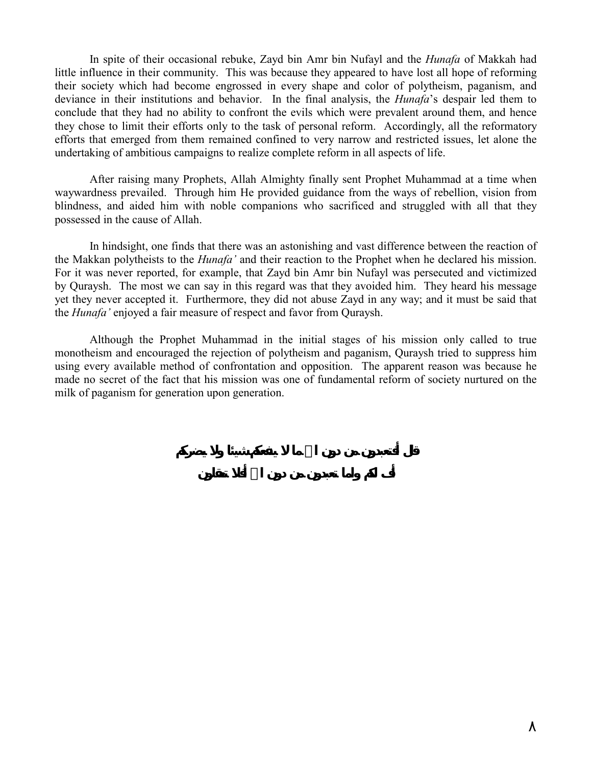In spite of their occasional rebuke, Zayd bin Amr bin Nufayl and the *Hunafa* of Makkah had little influence in their community. This was because they appeared to have lost all hope of reforming their society which had become engrossed in every shape and color of polytheism, paganism, and deviance in their institutions and behavior. In the final analysis, the *Hunafa*'s despair led them to conclude that they had no ability to confront the evils which were prevalent around them, and hence they chose to limit their efforts only to the task of personal reform. Accordingly, all the reformatory efforts that emerged from them remained confined to very narrow and restricted issues, let alone the undertaking of ambitious campaigns to realize complete reform in all aspects of life.

 After raising many Prophets, Allah Almighty finally sent Prophet Muhammad at a time when waywardness prevailed. Through him He provided guidance from the ways of rebellion, vision from blindness, and aided him with noble companions who sacrificed and struggled with all that they possessed in the cause of Allah.

 In hindsight, one finds that there was an astonishing and vast difference between the reaction of the Makkan polytheists to the *Hunafa'* and their reaction to the Prophet when he declared his mission. For it was never reported, for example, that Zayd bin Amr bin Nufayl was persecuted and victimized by Quraysh. The most we can say in this regard was that they avoided him. They heard his message yet they never accepted it. Furthermore, they did not abuse Zayd in any way; and it must be said that the *Hunafa'* enjoyed a fair measure of respect and favor from Quraysh.

 Although the Prophet Muhammad in the initial stages of his mission only called to true monotheism and encouraged the rejection of polytheism and paganism, Quraysh tried to suppress him using every available method of confrontation and opposition. The apparent reason was because he made no secret of the fact that his mission was one of fundamental reform of society nurtured on the milk of paganism for generation upon generation.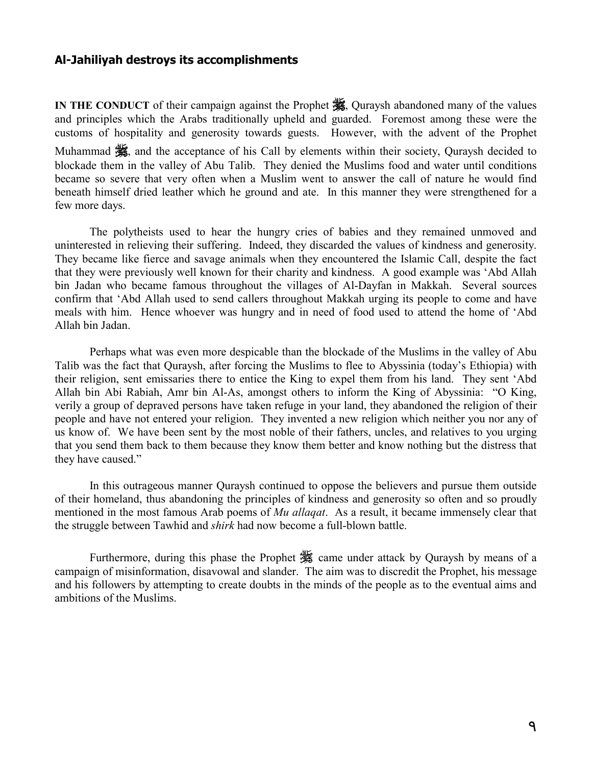#### **Al-Jahiliyah destroys its accomplishments**

**IN THE CONDUCT** of their campaign against the Prophet  $\frac{dE}{dE}$ , Quraysh abandoned many of the values and principles which the Arabs traditionally upheld and guarded. Foremost among these were the customs of hospitality and generosity towards guests. However, with the advent of the Prophet Muhammad  $\frac{1}{100}$ , and the acceptance of his Call by elements within their society, Quraysh decided to blockade them in the valley of Abu Talib. They denied the Muslims food and water until conditions became so severe that very often when a Muslim went to answer the call of nature he would find beneath himself dried leather which he ground and ate. In this manner they were strengthened for a few more days.

 The polytheists used to hear the hungry cries of babies and they remained unmoved and uninterested in relieving their suffering. Indeed, they discarded the values of kindness and generosity. They became like fierce and savage animals when they encountered the Islamic Call, despite the fact that they were previously well known for their charity and kindness. A good example was 'Abd Allah bin Jadan who became famous throughout the villages of Al-Dayfan in Makkah. Several sources confirm that 'Abd Allah used to send callers throughout Makkah urging its people to come and have meals with him. Hence whoever was hungry and in need of food used to attend the home of 'Abd Allah bin Jadan.

 Perhaps what was even more despicable than the blockade of the Muslims in the valley of Abu Talib was the fact that Quraysh, after forcing the Muslims to flee to Abyssinia (today's Ethiopia) with their religion, sent emissaries there to entice the King to expel them from his land. They sent 'Abd Allah bin Abi Rabiah, Amr bin Al-As, amongst others to inform the King of Abyssinia: "O King, verily a group of depraved persons have taken refuge in your land, they abandoned the religion of their people and have not entered your religion. They invented a new religion which neither you nor any of us know of. We have been sent by the most noble of their fathers, uncles, and relatives to you urging that you send them back to them because they know them better and know nothing but the distress that they have caused."

 In this outrageous manner Quraysh continued to oppose the believers and pursue them outside of their homeland, thus abandoning the principles of kindness and generosity so often and so proudly mentioned in the most famous Arab poems of *Mu allaqat*. As a result, it became immensely clear that the struggle between Tawhid and *shirk* had now become a full-blown battle.

Furthermore, during this phase the Prophet  $\frac{1}{2}$  came under attack by Quraysh by means of a campaign of misinformation, disavowal and slander. The aim was to discredit the Prophet, his message and his followers by attempting to create doubts in the minds of the people as to the eventual aims and ambitions of the Muslims.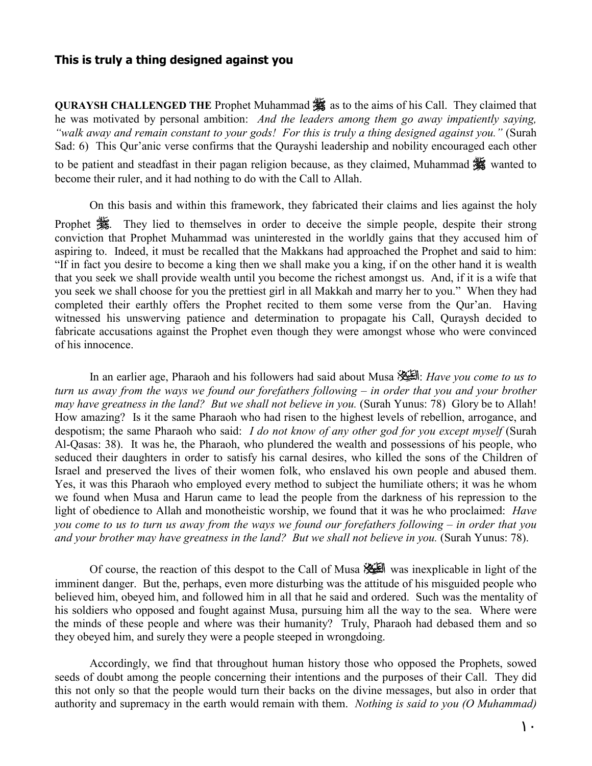## **This is truly a thing designed against you**

**QURAYSH CHALLENGED THE** Prophet Muhammad  $\frac{dS}{dS}$  as to the aims of his Call. They claimed that he was motivated by personal ambition: *And the leaders among them go away impatiently saying, "walk away and remain constant to your gods! For this is truly a thing designed against you."* (Surah Sad: 6) This Qur'anic verse confirms that the Qurayshi leadership and nobility encouraged each other

to be patient and steadfast in their pagan religion because, as they claimed, Muhammad , wanted to become their ruler, and it had nothing to do with the Call to Allah.

On this basis and within this framework, they fabricated their claims and lies against the holy

Prophet  $\frac{1}{25}$ . They lied to themselves in order to deceive the simple people, despite their strong conviction that Prophet Muhammad was uninterested in the worldly gains that they accused him of aspiring to. Indeed, it must be recalled that the Makkans had approached the Prophet and said to him: "If in fact you desire to become a king then we shall make you a king, if on the other hand it is wealth that you seek we shall provide wealth until you become the richest amongst us. And, if it is a wife that you seek we shall choose for you the prettiest girl in all Makkah and marry her to you." When they had completed their earthly offers the Prophet recited to them some verse from the Qur'an. Having witnessed his unswerving patience and determination to propagate his Call, Quraysh decided to fabricate accusations against the Prophet even though they were amongst whose who were convinced of his innocence.

 In an earlier age, Pharaoh and his followers had said about Musa X: *Have you come to us to turn us away from the ways we found our forefathers following – in order that you and your brother may have greatness in the land? But we shall not believe in you.* (Surah Yunus: 78) Glory be to Allah! How amazing? Is it the same Pharaoh who had risen to the highest levels of rebellion, arrogance, and despotism; the same Pharaoh who said: *I do not know of any other god for you except myself* (Surah Al-Qasas: 38). It was he, the Pharaoh, who plundered the wealth and possessions of his people, who seduced their daughters in order to satisfy his carnal desires, who killed the sons of the Children of Israel and preserved the lives of their women folk, who enslaved his own people and abused them. Yes, it was this Pharaoh who employed every method to subject the humiliate others; it was he whom we found when Musa and Harun came to lead the people from the darkness of his repression to the light of obedience to Allah and monotheistic worship, we found that it was he who proclaimed: *Have you come to us to turn us away from the ways we found our forefathers following – in order that you and your brother may have greatness in the land? But we shall not believe in you.* (Surah Yunus: 78).

Of course, the reaction of this despot to the Call of Musa  $\frac{1}{2}$  was inexplicable in light of the imminent danger. But the, perhaps, even more disturbing was the attitude of his misguided people who believed him, obeyed him, and followed him in all that he said and ordered. Such was the mentality of his soldiers who opposed and fought against Musa, pursuing him all the way to the sea. Where were the minds of these people and where was their humanity? Truly, Pharaoh had debased them and so they obeyed him, and surely they were a people steeped in wrongdoing.

 Accordingly, we find that throughout human history those who opposed the Prophets, sowed seeds of doubt among the people concerning their intentions and the purposes of their Call. They did this not only so that the people would turn their backs on the divine messages, but also in order that authority and supremacy in the earth would remain with them. *Nothing is said to you (O Muhammad)*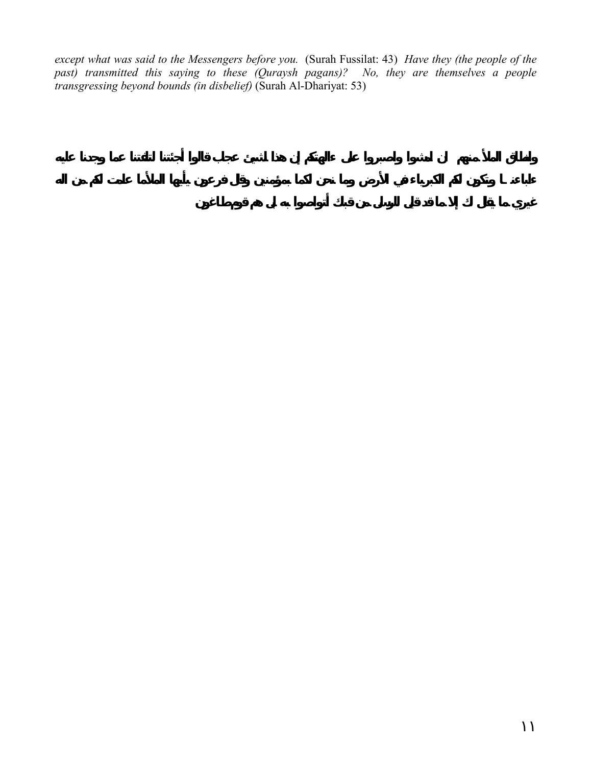*except what was said to the Messengers before you.* (Surah Fussilat: 43) *Have they (the people of the past) transmitted this saying to these (Quraysh pagans)? No, they are themselves a people*  $p$ *transgressing beyond bounds (in disbelief)* (Surah Al-Dhariyat: 53)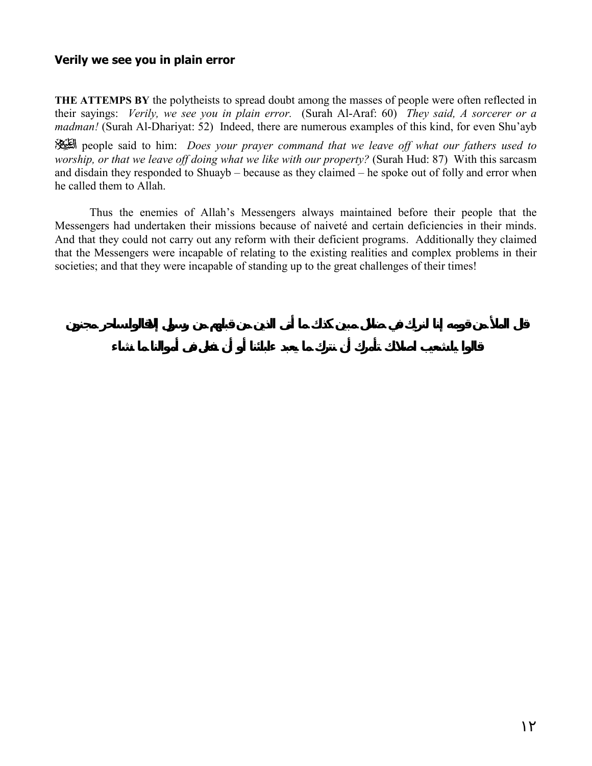# **Verily we see you in plain error**

**THE ATTEMPS BY** the polytheists to spread doubt among the masses of people were often reflected in their sayings: *Verily, we see you in plain error.* (Surah Al-Araf: 60) *They said, A sorcerer or a madman!* (Surah Al-Dhariyat: 52) Indeed, there are numerous examples of this kind, for even Shu'ayb

X people said to him: *Does your prayer command that we leave off what our fathers used to worship, or that we leave off doing what we like with our property?* (Surah Hud: 87) With this sarcasm and disdain they responded to Shuayb – because as they claimed – he spoke out of folly and error when he called them to Allah.

 Thus the enemies of Allah's Messengers always maintained before their people that the Messengers had undertaken their missions because of naiveté and certain deficiencies in their minds. And that they could not carry out any reform with their deficient programs. Additionally they claimed that the Messengers were incapable of relating to the existing realities and complex problems in their societies; and that they were incapable of standing up to the great challenges of their times!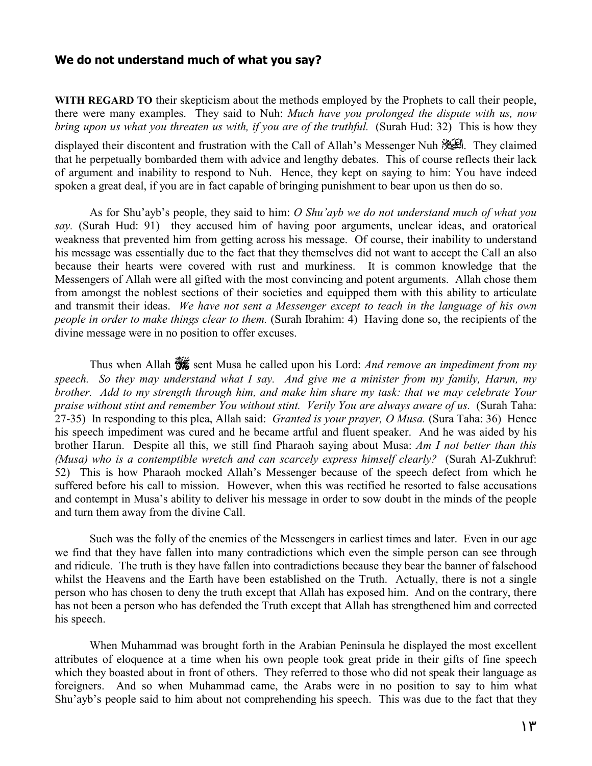#### **We do not understand much of what you say?**

**WITH REGARD TO** their skepticism about the methods employed by the Prophets to call their people, there were many examples. They said to Nuh: *Much have you prolonged the dispute with us, now bring upon us what you threaten us with, if you are of the truthful.* (Surah Hud: 32) This is how they

displayed their discontent and frustration with the Call of Allah's Messenger Nuh التكليلي They claimed that he perpetually bombarded them with advice and lengthy debates. This of course reflects their lack of argument and inability to respond to Nuh. Hence, they kept on saying to him: You have indeed spoken a great deal, if you are in fact capable of bringing punishment to bear upon us then do so.

 As for Shu'ayb's people, they said to him: *O Shu'ayb we do not understand much of what you say.* (Surah Hud: 91) they accused him of having poor arguments, unclear ideas, and oratorical weakness that prevented him from getting across his message. Of course, their inability to understand his message was essentially due to the fact that they themselves did not want to accept the Call an also because their hearts were covered with rust and murkiness. It is common knowledge that the Messengers of Allah were all gifted with the most convincing and potent arguments. Allah chose them from amongst the noblest sections of their societies and equipped them with this ability to articulate and transmit their ideas. *We have not sent a Messenger except to teach in the language of his own people in order to make things clear to them.* (Surah Ibrahim: 4) Having done so, the recipients of the divine message were in no position to offer excuses.

Thus when Allah  $\frac{1}{2}$  sent Musa he called upon his Lord: *And remove an impediment from my speech. So they may understand what I say. And give me a minister from my family, Harun, my brother. Add to my strength through him, and make him share my task: that we may celebrate Your praise without stint and remember You without stint. Verily You are always aware of us.* (Surah Taha: 27-35) In responding to this plea, Allah said: *Granted is your prayer, O Musa.* (Sura Taha: 36) Hence his speech impediment was cured and he became artful and fluent speaker. And he was aided by his brother Harun. Despite all this, we still find Pharaoh saying about Musa: *Am I not better than this (Musa) who is a contemptible wretch and can scarcely express himself clearly?* (Surah Al-Zukhruf: 52) This is how Pharaoh mocked Allah's Messenger because of the speech defect from which he suffered before his call to mission. However, when this was rectified he resorted to false accusations and contempt in Musa's ability to deliver his message in order to sow doubt in the minds of the people and turn them away from the divine Call.

 Such was the folly of the enemies of the Messengers in earliest times and later. Even in our age we find that they have fallen into many contradictions which even the simple person can see through and ridicule. The truth is they have fallen into contradictions because they bear the banner of falsehood whilst the Heavens and the Earth have been established on the Truth. Actually, there is not a single person who has chosen to deny the truth except that Allah has exposed him. And on the contrary, there has not been a person who has defended the Truth except that Allah has strengthened him and corrected his speech.

 When Muhammad was brought forth in the Arabian Peninsula he displayed the most excellent attributes of eloquence at a time when his own people took great pride in their gifts of fine speech which they boasted about in front of others. They referred to those who did not speak their language as foreigners. And so when Muhammad came, the Arabs were in no position to say to him what Shu'ayb's people said to him about not comprehending his speech. This was due to the fact that they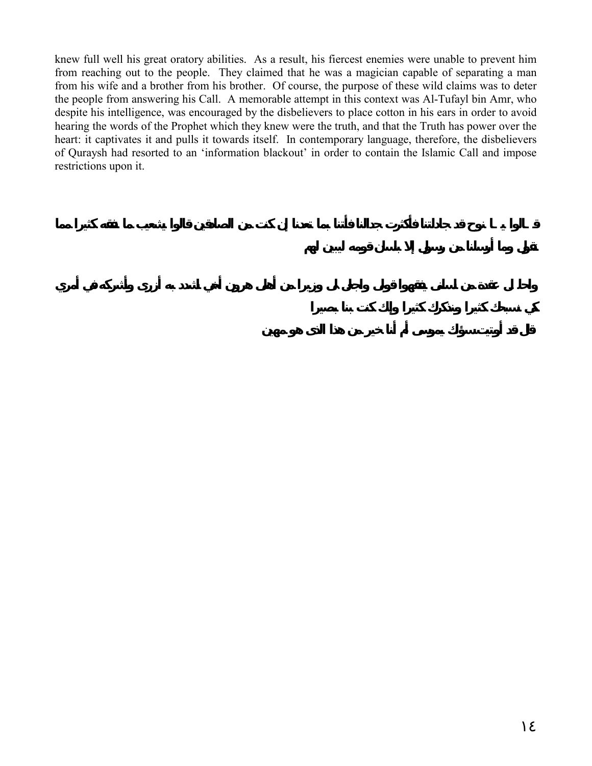knew full well his great oratory abilities. As a result, his fiercest enemies were unable to prevent him from reaching out to the people. They claimed that he was a magician capable of separating a man from his wife and a brother from his brother. Of course, the purpose of these wild claims was to deter the people from answering his Call. A memorable attempt in this context was Al-Tufayl bin Amr, who despite his intelligence, was encouraged by the disbelievers to place cotton in his ears in order to avoid hearing the words of the Prophet which they knew were the truth, and that the Truth has power over the heart: it captivates it and pulls it towards itself. In contemporary language, therefore, the disbelievers of Quraysh had resorted to an 'information blackout' in order to contain the Islamic Call and impose restrictions upon it.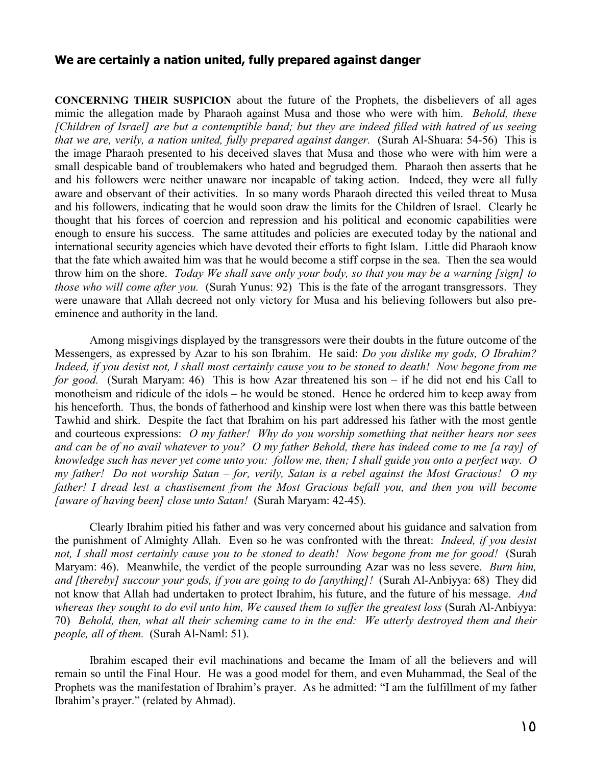#### **We are certainly a nation united, fully prepared against danger**

**CONCERNING THEIR SUSPICION** about the future of the Prophets, the disbelievers of all ages mimic the allegation made by Pharaoh against Musa and those who were with him. *Behold, these [Children of Israel] are but a contemptible band; but they are indeed filled with hatred of us seeing that we are, verily, a nation united, fully prepared against danger.* (Surah Al-Shuara: 54-56) This is the image Pharaoh presented to his deceived slaves that Musa and those who were with him were a small despicable band of troublemakers who hated and begrudged them. Pharaoh then asserts that he and his followers were neither unaware nor incapable of taking action. Indeed, they were all fully aware and observant of their activities. In so many words Pharaoh directed this veiled threat to Musa and his followers, indicating that he would soon draw the limits for the Children of Israel. Clearly he thought that his forces of coercion and repression and his political and economic capabilities were enough to ensure his success. The same attitudes and policies are executed today by the national and international security agencies which have devoted their efforts to fight Islam. Little did Pharaoh know that the fate which awaited him was that he would become a stiff corpse in the sea. Then the sea would throw him on the shore. *Today We shall save only your body, so that you may be a warning [sign] to those who will come after you.* (Surah Yunus: 92) This is the fate of the arrogant transgressors. They were unaware that Allah decreed not only victory for Musa and his believing followers but also preeminence and authority in the land.

 Among misgivings displayed by the transgressors were their doubts in the future outcome of the Messengers, as expressed by Azar to his son Ibrahim. He said: *Do you dislike my gods, O Ibrahim? Indeed, if you desist not, I shall most certainly cause you to be stoned to death! Now begone from me for good.* (Surah Maryam: 46) This is how Azar threatened his son – if he did not end his Call to monotheism and ridicule of the idols – he would be stoned. Hence he ordered him to keep away from his henceforth. Thus, the bonds of fatherhood and kinship were lost when there was this battle between Tawhid and shirk. Despite the fact that Ibrahim on his part addressed his father with the most gentle and courteous expressions: *O my father! Why do you worship something that neither hears nor sees and can be of no avail whatever to you? O my father Behold, there has indeed come to me [a ray] of knowledge such has never yet come unto you: follow me, then; I shall guide you onto a perfect way. O my father! Do not worship Satan – for, verily, Satan is a rebel against the Most Gracious! O my father! I dread lest a chastisement from the Most Gracious befall you, and then you will become [aware of having been] close unto Satan!* (Surah Maryam: 42-45).

 Clearly Ibrahim pitied his father and was very concerned about his guidance and salvation from the punishment of Almighty Allah. Even so he was confronted with the threat: *Indeed, if you desist not, I shall most certainly cause you to be stoned to death! Now begone from me for good!* (Surah Maryam: 46). Meanwhile, the verdict of the people surrounding Azar was no less severe. *Burn him, and [thereby] succour your gods, if you are going to do [anything]!* (Surah Al-Anbiyya: 68) They did not know that Allah had undertaken to protect Ibrahim, his future, and the future of his message. *And whereas they sought to do evil unto him, We caused them to suffer the greatest loss* (Surah Al-Anbiyya: 70) *Behold, then, what all their scheming came to in the end: We utterly destroyed them and their people, all of them.* (Surah Al-Naml: 51).

 Ibrahim escaped their evil machinations and became the Imam of all the believers and will remain so until the Final Hour. He was a good model for them, and even Muhammad, the Seal of the Prophets was the manifestation of Ibrahim's prayer. As he admitted: "I am the fulfillment of my father Ibrahim's prayer." (related by Ahmad).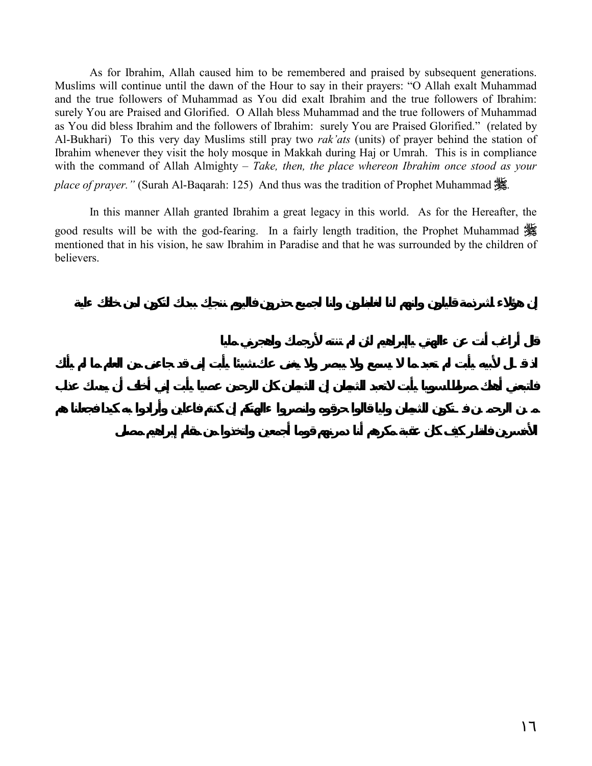As for Ibrahim, Allah caused him to be remembered and praised by subsequent generations. Muslims will continue until the dawn of the Hour to say in their prayers: "O Allah exalt Muhammad and the true followers of Muhammad as You did exalt Ibrahim and the true followers of Ibrahim: surely You are Praised and Glorified. O Allah bless Muhammad and the true followers of Muhammad as You did bless Ibrahim and the followers of Ibrahim: surely You are Praised Glorified." (related by Al-Bukhari) To this very day Muslims still pray two *rak'ats* (units) of prayer behind the station of Ibrahim whenever they visit the holy mosque in Makkah during Haj or Umrah. This is in compliance with the command of Allah Almighty – *Take, then, the place whereon Ibrahim once stood as your* 

*place of prayer.*" (Surah Al-Baqarah: 125) And thus was the tradition of Prophet Muhammad  $\frac{dS}{dS}$ .

 In this manner Allah granted Ibrahim a great legacy in this world. As for the Hereafter, the good results will be with the god-fearing. In a fairly length tradition, the Prophet Muhammad mentioned that in his vision, he saw Ibrahim in Paradise and that he was surrounded by the children of believers.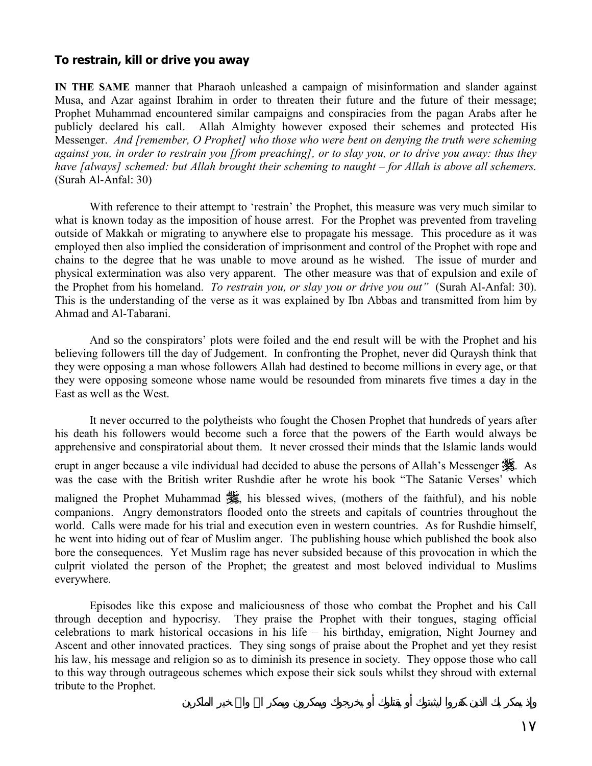#### **To restrain, kill or drive you away**

**IN THE SAME** manner that Pharaoh unleashed a campaign of misinformation and slander against Musa, and Azar against Ibrahim in order to threaten their future and the future of their message; Prophet Muhammad encountered similar campaigns and conspiracies from the pagan Arabs after he publicly declared his call. Allah Almighty however exposed their schemes and protected His Messenger. *And [remember, O Prophet] who those who were bent on denying the truth were scheming against you, in order to restrain you [from preaching], or to slay you, or to drive you away: thus they have [always] schemed: but Allah brought their scheming to naught – for Allah is above all schemers.* (Surah Al-Anfal: 30)

 With reference to their attempt to 'restrain' the Prophet, this measure was very much similar to what is known today as the imposition of house arrest. For the Prophet was prevented from traveling outside of Makkah or migrating to anywhere else to propagate his message. This procedure as it was employed then also implied the consideration of imprisonment and control of the Prophet with rope and chains to the degree that he was unable to move around as he wished. The issue of murder and physical extermination was also very apparent. The other measure was that of expulsion and exile of the Prophet from his homeland. *To restrain you, or slay you or drive you out"* (Surah Al-Anfal: 30). This is the understanding of the verse as it was explained by Ibn Abbas and transmitted from him by Ahmad and Al-Tabarani.

 And so the conspirators' plots were foiled and the end result will be with the Prophet and his believing followers till the day of Judgement. In confronting the Prophet, never did Quraysh think that they were opposing a man whose followers Allah had destined to become millions in every age, or that they were opposing someone whose name would be resounded from minarets five times a day in the East as well as the West.

 It never occurred to the polytheists who fought the Chosen Prophet that hundreds of years after his death his followers would become such a force that the powers of the Earth would always be apprehensive and conspiratorial about them. It never crossed their minds that the Islamic lands would erupt in anger because a vile individual had decided to abuse the persons of Allah's Messenger  $\frac{1}{25}$ . As was the case with the British writer Rushdie after he wrote his book "The Satanic Verses' which maligned the Prophet Muhammad S, his blessed wives, (mothers of the faithful), and his noble companions. Angry demonstrators flooded onto the streets and capitals of countries throughout the world. Calls were made for his trial and execution even in western countries. As for Rushdie himself, he went into hiding out of fear of Muslim anger. The publishing house which published the book also bore the consequences. Yet Muslim rage has never subsided because of this provocation in which the culprit violated the person of the Prophet; the greatest and most beloved individual to Muslims everywhere.

 Episodes like this expose and maliciousness of those who combat the Prophet and his Call through deception and hypocrisy. They praise the Prophet with their tongues, staging official celebrations to mark historical occasions in his life – his birthday, emigration, Night Journey and Ascent and other innovated practices. They sing songs of praise about the Prophet and yet they resist his law, his message and religion so as to diminish its presence in society. They oppose those who call to this way through outrageous schemes which expose their sick souls whilst they shroud with external tribute to the Prophet.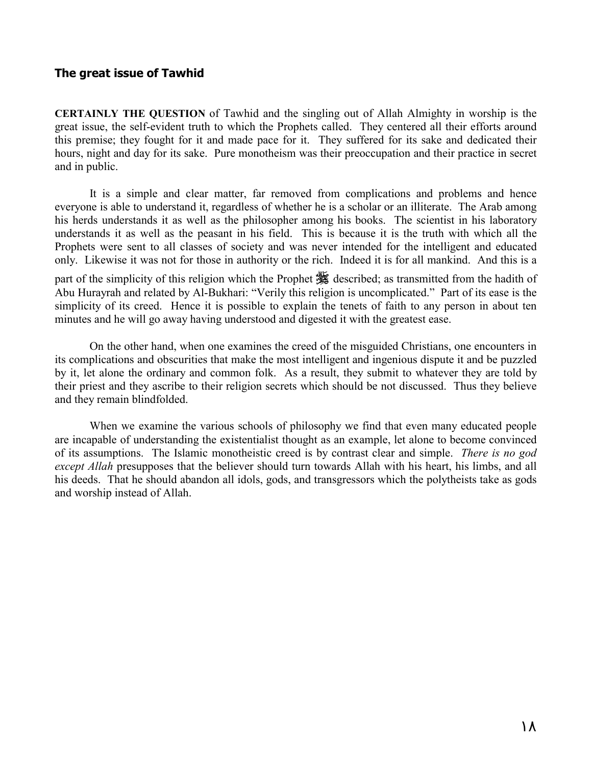#### **The great issue of Tawhid**

**CERTAINLY THE QUESTION** of Tawhid and the singling out of Allah Almighty in worship is the great issue, the self-evident truth to which the Prophets called. They centered all their efforts around this premise; they fought for it and made pace for it. They suffered for its sake and dedicated their hours, night and day for its sake. Pure monotheism was their preoccupation and their practice in secret and in public.

 It is a simple and clear matter, far removed from complications and problems and hence everyone is able to understand it, regardless of whether he is a scholar or an illiterate. The Arab among his herds understands it as well as the philosopher among his books. The scientist in his laboratory understands it as well as the peasant in his field. This is because it is the truth with which all the Prophets were sent to all classes of society and was never intended for the intelligent and educated only. Likewise it was not for those in authority or the rich. Indeed it is for all mankind. And this is a

part of the simplicity of this religion which the Prophet  $\frac{1}{2}$  described; as transmitted from the hadith of Abu Hurayrah and related by Al-Bukhari: "Verily this religion is uncomplicated." Part of its ease is the simplicity of its creed. Hence it is possible to explain the tenets of faith to any person in about ten minutes and he will go away having understood and digested it with the greatest ease.

 On the other hand, when one examines the creed of the misguided Christians, one encounters in its complications and obscurities that make the most intelligent and ingenious dispute it and be puzzled by it, let alone the ordinary and common folk. As a result, they submit to whatever they are told by their priest and they ascribe to their religion secrets which should be not discussed. Thus they believe and they remain blindfolded.

 When we examine the various schools of philosophy we find that even many educated people are incapable of understanding the existentialist thought as an example, let alone to become convinced of its assumptions. The Islamic monotheistic creed is by contrast clear and simple. *There is no god except Allah* presupposes that the believer should turn towards Allah with his heart, his limbs, and all his deeds. That he should abandon all idols, gods, and transgressors which the polytheists take as gods and worship instead of Allah.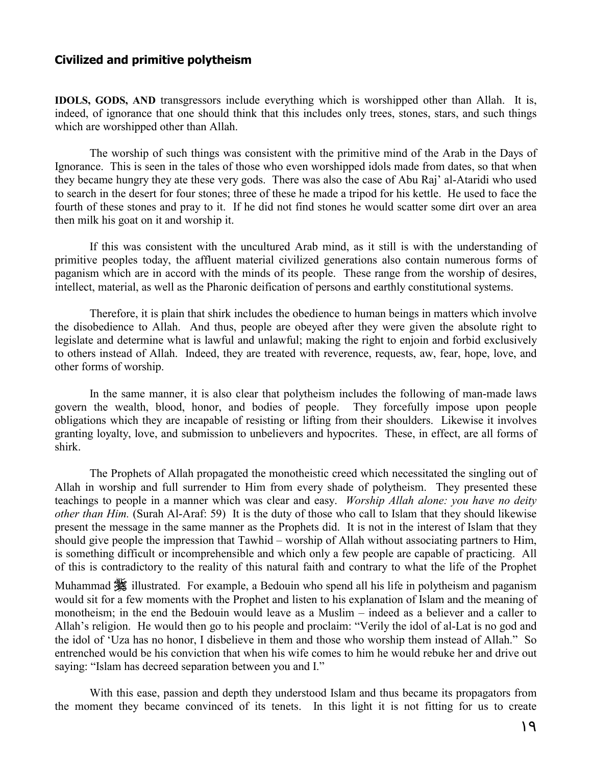#### **Civilized and primitive polytheism**

**IDOLS, GODS, AND** transgressors include everything which is worshipped other than Allah. It is, indeed, of ignorance that one should think that this includes only trees, stones, stars, and such things which are worshipped other than Allah.

 The worship of such things was consistent with the primitive mind of the Arab in the Days of Ignorance. This is seen in the tales of those who even worshipped idols made from dates, so that when they became hungry they ate these very gods. There was also the case of Abu Raj' al-Ataridi who used to search in the desert for four stones; three of these he made a tripod for his kettle. He used to face the fourth of these stones and pray to it. If he did not find stones he would scatter some dirt over an area then milk his goat on it and worship it.

 If this was consistent with the uncultured Arab mind, as it still is with the understanding of primitive peoples today, the affluent material civilized generations also contain numerous forms of paganism which are in accord with the minds of its people. These range from the worship of desires, intellect, material, as well as the Pharonic deification of persons and earthly constitutional systems.

 Therefore, it is plain that shirk includes the obedience to human beings in matters which involve the disobedience to Allah. And thus, people are obeyed after they were given the absolute right to legislate and determine what is lawful and unlawful; making the right to enjoin and forbid exclusively to others instead of Allah. Indeed, they are treated with reverence, requests, aw, fear, hope, love, and other forms of worship.

 In the same manner, it is also clear that polytheism includes the following of man-made laws govern the wealth, blood, honor, and bodies of people. They forcefully impose upon people obligations which they are incapable of resisting or lifting from their shoulders. Likewise it involves granting loyalty, love, and submission to unbelievers and hypocrites. These, in effect, are all forms of shirk.

 The Prophets of Allah propagated the monotheistic creed which necessitated the singling out of Allah in worship and full surrender to Him from every shade of polytheism. They presented these teachings to people in a manner which was clear and easy. *Worship Allah alone: you have no deity other than Him.* (Surah Al-Araf: 59) It is the duty of those who call to Islam that they should likewise present the message in the same manner as the Prophets did. It is not in the interest of Islam that they should give people the impression that Tawhid – worship of Allah without associating partners to Him, is something difficult or incomprehensible and which only a few people are capable of practicing. All of this is contradictory to the reality of this natural faith and contrary to what the life of the Prophet

Muhammad  $\frac{1}{25}$  illustrated. For example, a Bedouin who spend all his life in polytheism and paganism would sit for a few moments with the Prophet and listen to his explanation of Islam and the meaning of monotheism; in the end the Bedouin would leave as a Muslim – indeed as a believer and a caller to Allah's religion. He would then go to his people and proclaim: "Verily the idol of al-Lat is no god and the idol of 'Uza has no honor, I disbelieve in them and those who worship them instead of Allah." So entrenched would be his conviction that when his wife comes to him he would rebuke her and drive out saying: "Islam has decreed separation between you and I."

 With this ease, passion and depth they understood Islam and thus became its propagators from the moment they became convinced of its tenets. In this light it is not fitting for us to create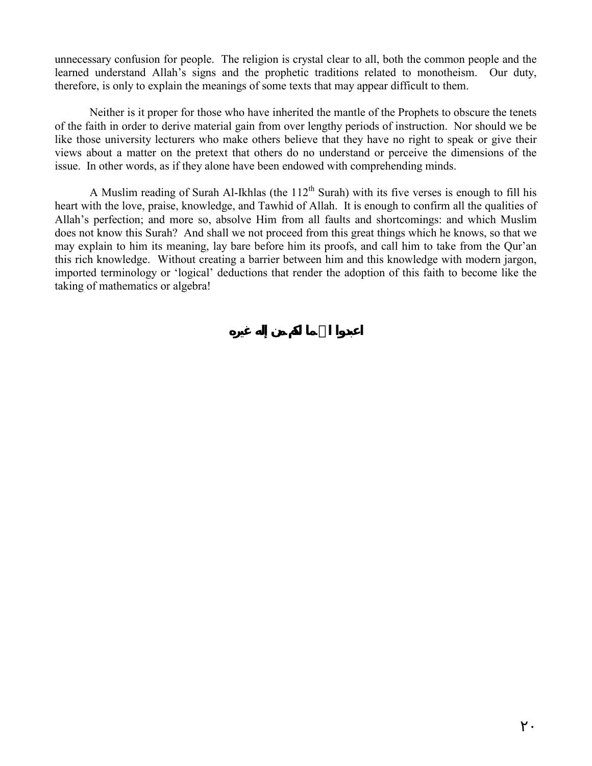unnecessary confusion for people. The religion is crystal clear to all, both the common people and the learned understand Allah's signs and the prophetic traditions related to monotheism. Our duty, therefore, is only to explain the meanings of some texts that may appear difficult to them.

 Neither is it proper for those who have inherited the mantle of the Prophets to obscure the tenets of the faith in order to derive material gain from over lengthy periods of instruction. Nor should we be like those university lecturers who make others believe that they have no right to speak or give their views about a matter on the pretext that others do no understand or perceive the dimensions of the issue. In other words, as if they alone have been endowed with comprehending minds.

A Muslim reading of Surah Al-Ikhlas (the  $112<sup>th</sup>$  Surah) with its five verses is enough to fill his heart with the love, praise, knowledge, and Tawhid of Allah. It is enough to confirm all the qualities of Allah's perfection; and more so, absolve Him from all faults and shortcomings: and which Muslim does not know this Surah? And shall we not proceed from this great things which he knows, so that we may explain to him its meaning, lay bare before him its proofs, and call him to take from the Qur'an this rich knowledge. Without creating a barrier between him and this knowledge with modern jargon, imported terminology or 'logical' deductions that render the adoption of this faith to become like the taking of mathematics or algebra!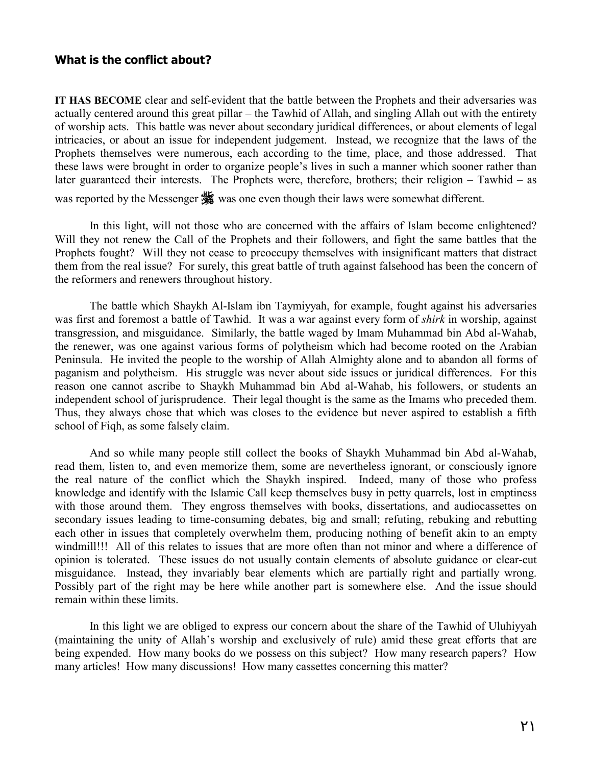#### **What is the conflict about?**

**IT HAS BECOME** clear and self-evident that the battle between the Prophets and their adversaries was actually centered around this great pillar – the Tawhid of Allah, and singling Allah out with the entirety of worship acts. This battle was never about secondary juridical differences, or about elements of legal intricacies, or about an issue for independent judgement. Instead, we recognize that the laws of the Prophets themselves were numerous, each according to the time, place, and those addressed. That these laws were brought in order to organize people's lives in such a manner which sooner rather than later guaranteed their interests. The Prophets were, therefore, brothers; their religion – Tawhid – as was reported by the Messenger  $\frac{1}{25}$  was one even though their laws were somewhat different.

 In this light, will not those who are concerned with the affairs of Islam become enlightened? Will they not renew the Call of the Prophets and their followers, and fight the same battles that the Prophets fought? Will they not cease to preoccupy themselves with insignificant matters that distract them from the real issue? For surely, this great battle of truth against falsehood has been the concern of the reformers and renewers throughout history.

 The battle which Shaykh Al-Islam ibn Taymiyyah, for example, fought against his adversaries was first and foremost a battle of Tawhid. It was a war against every form of *shirk* in worship, against transgression, and misguidance. Similarly, the battle waged by Imam Muhammad bin Abd al-Wahab, the renewer, was one against various forms of polytheism which had become rooted on the Arabian Peninsula. He invited the people to the worship of Allah Almighty alone and to abandon all forms of paganism and polytheism. His struggle was never about side issues or juridical differences. For this reason one cannot ascribe to Shaykh Muhammad bin Abd al-Wahab, his followers, or students an independent school of jurisprudence. Their legal thought is the same as the Imams who preceded them. Thus, they always chose that which was closes to the evidence but never aspired to establish a fifth school of Figh, as some falsely claim.

 And so while many people still collect the books of Shaykh Muhammad bin Abd al-Wahab, read them, listen to, and even memorize them, some are nevertheless ignorant, or consciously ignore the real nature of the conflict which the Shaykh inspired. Indeed, many of those who profess knowledge and identify with the Islamic Call keep themselves busy in petty quarrels, lost in emptiness with those around them. They engross themselves with books, dissertations, and audiocassettes on secondary issues leading to time-consuming debates, big and small; refuting, rebuking and rebutting each other in issues that completely overwhelm them, producing nothing of benefit akin to an empty windmill!!! All of this relates to issues that are more often than not minor and where a difference of opinion is tolerated. These issues do not usually contain elements of absolute guidance or clear-cut misguidance. Instead, they invariably bear elements which are partially right and partially wrong. Possibly part of the right may be here while another part is somewhere else. And the issue should remain within these limits.

 In this light we are obliged to express our concern about the share of the Tawhid of Uluhiyyah (maintaining the unity of Allah's worship and exclusively of rule) amid these great efforts that are being expended. How many books do we possess on this subject? How many research papers? How many articles! How many discussions! How many cassettes concerning this matter?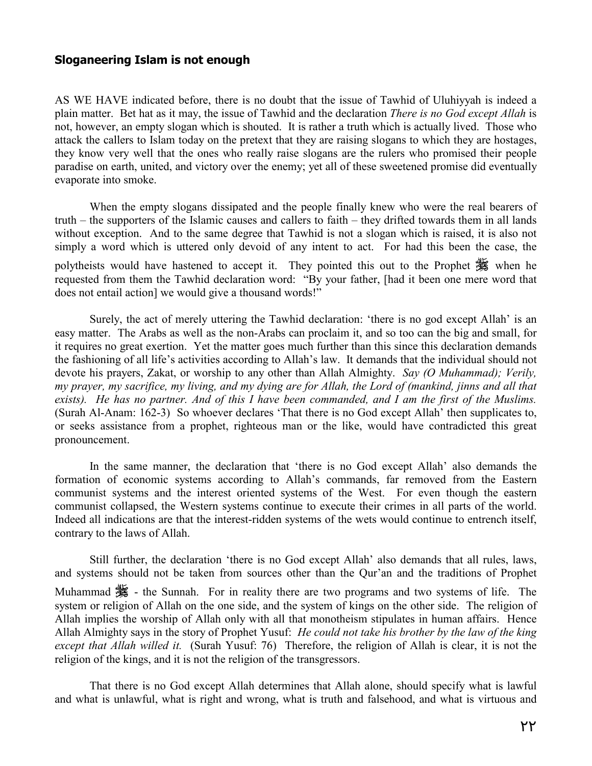#### **Sloganeering Islam is not enough**

AS WE HAVE indicated before, there is no doubt that the issue of Tawhid of Uluhiyyah is indeed a plain matter. Bet hat as it may, the issue of Tawhid and the declaration *There is no God except Allah* is not, however, an empty slogan which is shouted. It is rather a truth which is actually lived. Those who attack the callers to Islam today on the pretext that they are raising slogans to which they are hostages, they know very well that the ones who really raise slogans are the rulers who promised their people paradise on earth, united, and victory over the enemy; yet all of these sweetened promise did eventually evaporate into smoke.

 When the empty slogans dissipated and the people finally knew who were the real bearers of truth – the supporters of the Islamic causes and callers to faith – they drifted towards them in all lands without exception. And to the same degree that Tawhid is not a slogan which is raised, it is also not simply a word which is uttered only devoid of any intent to act. For had this been the case, the polytheists would have hastened to accept it. They pointed this out to the Prophet ※ when he requested from them the Tawhid declaration word: "By your father, [had it been one mere word that does not entail action] we would give a thousand words!"

 Surely, the act of merely uttering the Tawhid declaration: 'there is no god except Allah' is an easy matter. The Arabs as well as the non-Arabs can proclaim it, and so too can the big and small, for it requires no great exertion. Yet the matter goes much further than this since this declaration demands the fashioning of all life's activities according to Allah's law. It demands that the individual should not devote his prayers, Zakat, or worship to any other than Allah Almighty. *Say (O Muhammad); Verily, my prayer, my sacrifice, my living, and my dying are for Allah, the Lord of (mankind, jinns and all that exists). He has no partner. And of this I have been commanded, and I am the first of the Muslims.* (Surah Al-Anam: 162-3) So whoever declares 'That there is no God except Allah' then supplicates to, or seeks assistance from a prophet, righteous man or the like, would have contradicted this great pronouncement.

 In the same manner, the declaration that 'there is no God except Allah' also demands the formation of economic systems according to Allah's commands, far removed from the Eastern communist systems and the interest oriented systems of the West. For even though the eastern communist collapsed, the Western systems continue to execute their crimes in all parts of the world. Indeed all indications are that the interest-ridden systems of the wets would continue to entrench itself, contrary to the laws of Allah.

 Still further, the declaration 'there is no God except Allah' also demands that all rules, laws, and systems should not be taken from sources other than the Qur'an and the traditions of Prophet Muhammad  $\frac{1}{2}$  - the Sunnah. For in reality there are two programs and two systems of life. The system or religion of Allah on the one side, and the system of kings on the other side. The religion of Allah implies the worship of Allah only with all that monotheism stipulates in human affairs. Hence Allah Almighty says in the story of Prophet Yusuf: *He could not take his brother by the law of the king except that Allah willed it.* (Surah Yusuf: 76) Therefore, the religion of Allah is clear, it is not the religion of the kings, and it is not the religion of the transgressors.

 That there is no God except Allah determines that Allah alone, should specify what is lawful and what is unlawful, what is right and wrong, what is truth and falsehood, and what is virtuous and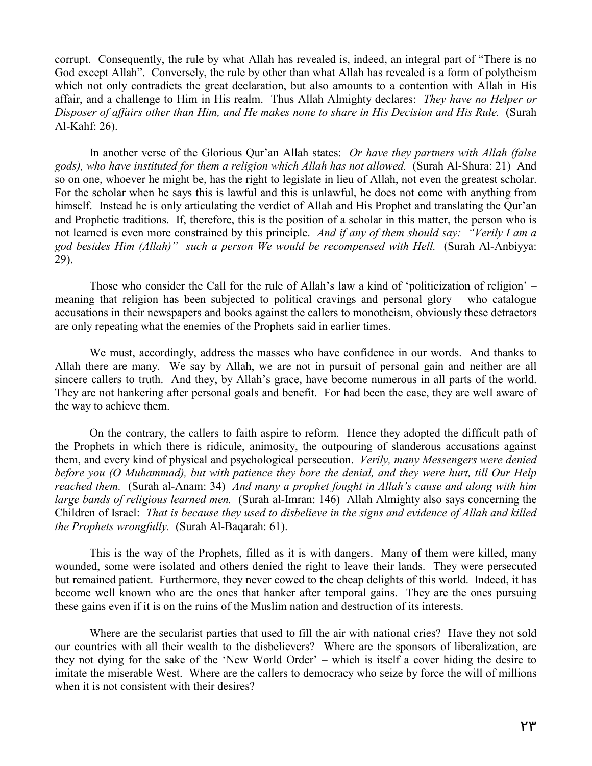corrupt. Consequently, the rule by what Allah has revealed is, indeed, an integral part of "There is no God except Allah". Conversely, the rule by other than what Allah has revealed is a form of polytheism which not only contradicts the great declaration, but also amounts to a contention with Allah in His affair, and a challenge to Him in His realm. Thus Allah Almighty declares: *They have no Helper or Disposer of affairs other than Him, and He makes none to share in His Decision and His Rule.* (Surah Al-Kahf: 26).

 In another verse of the Glorious Qur'an Allah states: *Or have they partners with Allah (false gods), who have instituted for them a religion which Allah has not allowed.* (Surah Al-Shura: 21) And so on one, whoever he might be, has the right to legislate in lieu of Allah, not even the greatest scholar. For the scholar when he says this is lawful and this is unlawful, he does not come with anything from himself. Instead he is only articulating the verdict of Allah and His Prophet and translating the Qur'an and Prophetic traditions. If, therefore, this is the position of a scholar in this matter, the person who is not learned is even more constrained by this principle. *And if any of them should say: "Verily I am a god besides Him (Allah)" such a person We would be recompensed with Hell.* (Surah Al-Anbiyya: 29).

 Those who consider the Call for the rule of Allah's law a kind of 'politicization of religion' – meaning that religion has been subjected to political cravings and personal glory – who catalogue accusations in their newspapers and books against the callers to monotheism, obviously these detractors are only repeating what the enemies of the Prophets said in earlier times.

 We must, accordingly, address the masses who have confidence in our words. And thanks to Allah there are many. We say by Allah, we are not in pursuit of personal gain and neither are all sincere callers to truth. And they, by Allah's grace, have become numerous in all parts of the world. They are not hankering after personal goals and benefit. For had been the case, they are well aware of the way to achieve them.

 On the contrary, the callers to faith aspire to reform. Hence they adopted the difficult path of the Prophets in which there is ridicule, animosity, the outpouring of slanderous accusations against them, and every kind of physical and psychological persecution. *Verily, many Messengers were denied before you (O Muhammad), but with patience they bore the denial, and they were hurt, till Our Help reached them.* (Surah al-Anam: 34) *And many a prophet fought in Allah's cause and along with him large bands of religious learned men.* (Surah al-Imran: 146) Allah Almighty also says concerning the Children of Israel: *That is because they used to disbelieve in the signs and evidence of Allah and killed the Prophets wrongfully.* (Surah Al-Baqarah: 61).

 This is the way of the Prophets, filled as it is with dangers. Many of them were killed, many wounded, some were isolated and others denied the right to leave their lands. They were persecuted but remained patient. Furthermore, they never cowed to the cheap delights of this world. Indeed, it has become well known who are the ones that hanker after temporal gains. They are the ones pursuing these gains even if it is on the ruins of the Muslim nation and destruction of its interests.

 Where are the secularist parties that used to fill the air with national cries? Have they not sold our countries with all their wealth to the disbelievers? Where are the sponsors of liberalization, are they not dying for the sake of the 'New World Order' – which is itself a cover hiding the desire to imitate the miserable West. Where are the callers to democracy who seize by force the will of millions when it is not consistent with their desires?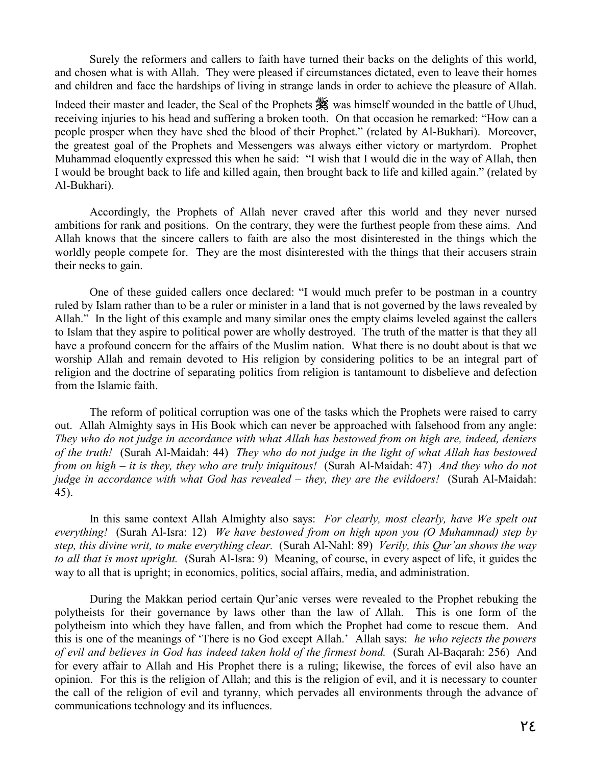Surely the reformers and callers to faith have turned their backs on the delights of this world, and chosen what is with Allah. They were pleased if circumstances dictated, even to leave their homes and children and face the hardships of living in strange lands in order to achieve the pleasure of Allah.

Indeed their master and leader, the Seal of the Prophets supply was himself wounded in the battle of Uhud, receiving injuries to his head and suffering a broken tooth. On that occasion he remarked: "How can a people prosper when they have shed the blood of their Prophet." (related by Al-Bukhari). Moreover, the greatest goal of the Prophets and Messengers was always either victory or martyrdom. Prophet Muhammad eloquently expressed this when he said: "I wish that I would die in the way of Allah, then I would be brought back to life and killed again, then brought back to life and killed again." (related by Al-Bukhari).

 Accordingly, the Prophets of Allah never craved after this world and they never nursed ambitions for rank and positions. On the contrary, they were the furthest people from these aims. And Allah knows that the sincere callers to faith are also the most disinterested in the things which the worldly people compete for. They are the most disinterested with the things that their accusers strain their necks to gain.

 One of these guided callers once declared: "I would much prefer to be postman in a country ruled by Islam rather than to be a ruler or minister in a land that is not governed by the laws revealed by Allah." In the light of this example and many similar ones the empty claims leveled against the callers to Islam that they aspire to political power are wholly destroyed. The truth of the matter is that they all have a profound concern for the affairs of the Muslim nation. What there is no doubt about is that we worship Allah and remain devoted to His religion by considering politics to be an integral part of religion and the doctrine of separating politics from religion is tantamount to disbelieve and defection from the Islamic faith.

 The reform of political corruption was one of the tasks which the Prophets were raised to carry out. Allah Almighty says in His Book which can never be approached with falsehood from any angle: *They who do not judge in accordance with what Allah has bestowed from on high are, indeed, deniers of the truth!* (Surah Al-Maidah: 44) *They who do not judge in the light of what Allah has bestowed from on high – it is they, they who are truly iniquitous!* (Surah Al-Maidah: 47) *And they who do not judge in accordance with what God has revealed – they, they are the evildoers!* (Surah Al-Maidah: 45).

 In this same context Allah Almighty also says: *For clearly, most clearly, have We spelt out everything!* (Surah Al-Isra: 12) *We have bestowed from on high upon you (O Muhammad) step by step, this divine writ, to make everything clear.* (Surah Al-Nahl: 89) *Verily, this Qur'an shows the way to all that is most upright.* (Surah Al-Isra: 9) Meaning, of course, in every aspect of life, it guides the way to all that is upright; in economics, politics, social affairs, media, and administration.

 During the Makkan period certain Qur'anic verses were revealed to the Prophet rebuking the polytheists for their governance by laws other than the law of Allah. This is one form of the polytheism into which they have fallen, and from which the Prophet had come to rescue them. And this is one of the meanings of 'There is no God except Allah.' Allah says: *he who rejects the powers of evil and believes in God has indeed taken hold of the firmest bond.* (Surah Al-Baqarah: 256) And for every affair to Allah and His Prophet there is a ruling; likewise, the forces of evil also have an opinion. For this is the religion of Allah; and this is the religion of evil, and it is necessary to counter the call of the religion of evil and tyranny, which pervades all environments through the advance of communications technology and its influences.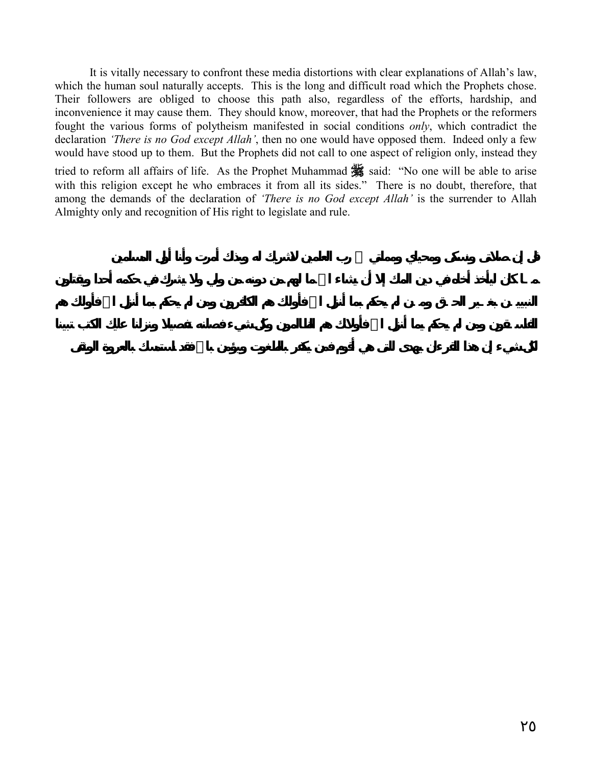It is vitally necessary to confront these media distortions with clear explanations of Allah's law, which the human soul naturally accepts. This is the long and difficult road which the Prophets chose. Their followers are obliged to choose this path also, regardless of the efforts, hardship, and inconvenience it may cause them. They should know, moreover, that had the Prophets or the reformers fought the various forms of polytheism manifested in social conditions *only*, which contradict the declaration *'There is no God except Allah'*, then no one would have opposed them. Indeed only a few would have stood up to them. But the Prophets did not call to one aspect of religion only, instead they tried to reform all affairs of life. As the Prophet Muhammad  $\frac{1}{100}$  said: "No one will be able to arise with this religion except he who embraces it from all its sides." There is no doubt, therefore, that among the demands of the declaration of *'There is no God except Allah'* is the surrender to Allah

Almighty only and recognition of His right to legislate and rule.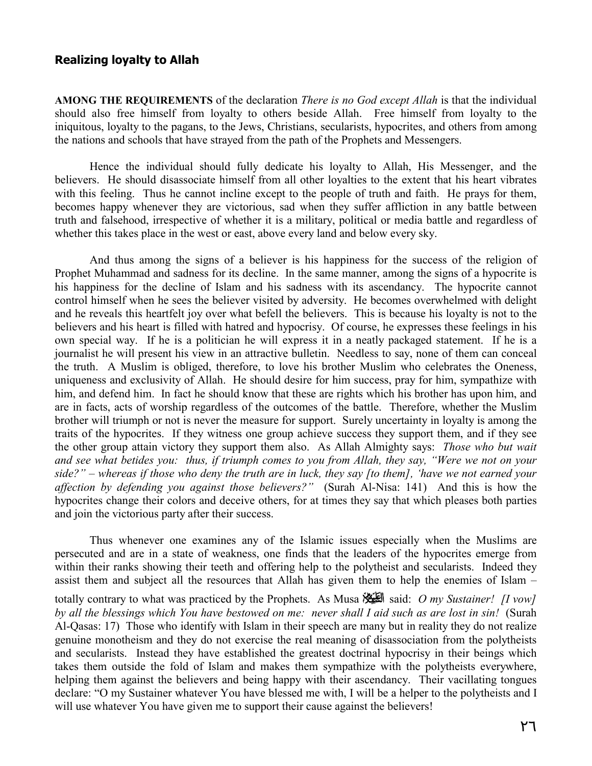#### **Realizing loyalty to Allah**

**AMONG THE REQUIREMENTS** of the declaration *There is no God except Allah* is that the individual should also free himself from loyalty to others beside Allah. Free himself from loyalty to the iniquitous, loyalty to the pagans, to the Jews, Christians, secularists, hypocrites, and others from among the nations and schools that have strayed from the path of the Prophets and Messengers.

 Hence the individual should fully dedicate his loyalty to Allah, His Messenger, and the believers. He should disassociate himself from all other loyalties to the extent that his heart vibrates with this feeling. Thus he cannot incline except to the people of truth and faith. He prays for them, becomes happy whenever they are victorious, sad when they suffer affliction in any battle between truth and falsehood, irrespective of whether it is a military, political or media battle and regardless of whether this takes place in the west or east, above every land and below every sky.

 And thus among the signs of a believer is his happiness for the success of the religion of Prophet Muhammad and sadness for its decline. In the same manner, among the signs of a hypocrite is his happiness for the decline of Islam and his sadness with its ascendancy. The hypocrite cannot control himself when he sees the believer visited by adversity. He becomes overwhelmed with delight and he reveals this heartfelt joy over what befell the believers. This is because his loyalty is not to the believers and his heart is filled with hatred and hypocrisy. Of course, he expresses these feelings in his own special way. If he is a politician he will express it in a neatly packaged statement. If he is a journalist he will present his view in an attractive bulletin. Needless to say, none of them can conceal the truth. A Muslim is obliged, therefore, to love his brother Muslim who celebrates the Oneness, uniqueness and exclusivity of Allah. He should desire for him success, pray for him, sympathize with him, and defend him. In fact he should know that these are rights which his brother has upon him, and are in facts, acts of worship regardless of the outcomes of the battle. Therefore, whether the Muslim brother will triumph or not is never the measure for support. Surely uncertainty in loyalty is among the traits of the hypocrites. If they witness one group achieve success they support them, and if they see the other group attain victory they support them also. As Allah Almighty says: *Those who but wait and see what betides you: thus, if triumph comes to you from Allah, they say, "Were we not on your side?" – whereas if those who deny the truth are in luck, they say [to them], 'have we not earned your affection by defending you against those believers?"* (Surah Al-Nisa: 141) And this is how the hypocrites change their colors and deceive others, for at times they say that which pleases both parties and join the victorious party after their success.

 Thus whenever one examines any of the Islamic issues especially when the Muslims are persecuted and are in a state of weakness, one finds that the leaders of the hypocrites emerge from within their ranks showing their teeth and offering help to the polytheist and secularists. Indeed they assist them and subject all the resources that Allah has given them to help the enemies of Islam – totally contrary to what was practiced by the Prophets. As Musa العَلَيْة said: *O my Sustainer! [I vow] by all the blessings which You have bestowed on me: never shall I aid such as are lost in sin!* (Surah Al-Qasas: 17) Those who identify with Islam in their speech are many but in reality they do not realize genuine monotheism and they do not exercise the real meaning of disassociation from the polytheists and secularists. Instead they have established the greatest doctrinal hypocrisy in their beings which takes them outside the fold of Islam and makes them sympathize with the polytheists everywhere, helping them against the believers and being happy with their ascendancy. Their vacillating tongues declare: "O my Sustainer whatever You have blessed me with, I will be a helper to the polytheists and I will use whatever You have given me to support their cause against the believers!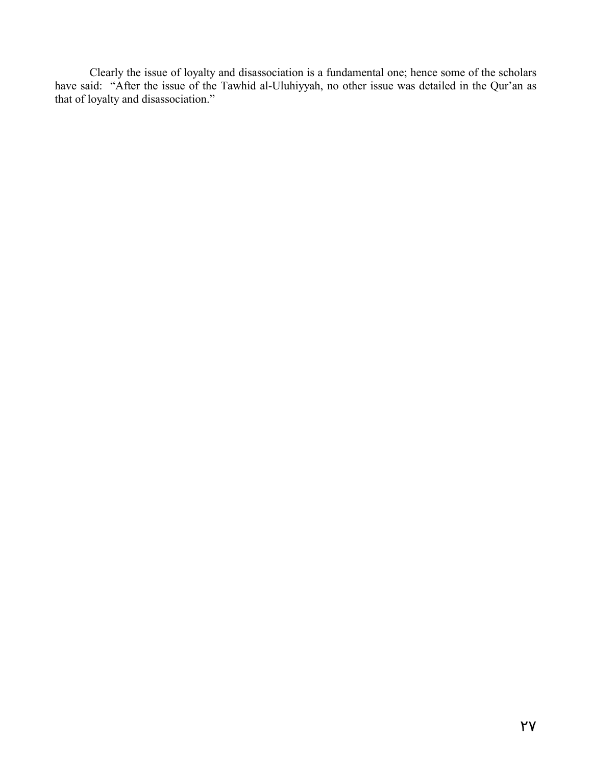Clearly the issue of loyalty and disassociation is a fundamental one; hence some of the scholars have said: "After the issue of the Tawhid al-Uluhiyyah, no other issue was detailed in the Qur'an as that of loyalty and disassociation."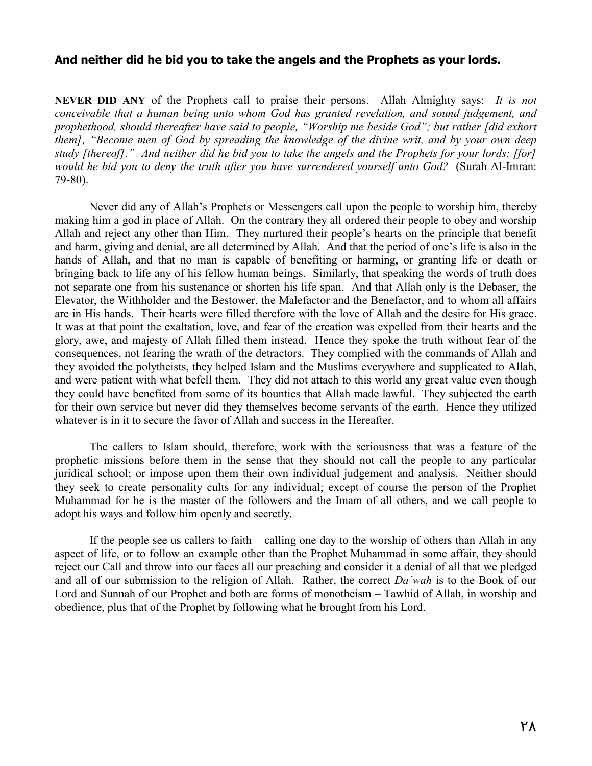#### **And neither did he bid you to take the angels and the Prophets as your lords.**

**NEVER DID ANY** of the Prophets call to praise their persons. Allah Almighty says: *It is not conceivable that a human being unto whom God has granted revelation, and sound judgement, and prophethood, should thereafter have said to people, "Worship me beside God"; but rather [did exhort them], "Become men of God by spreading the knowledge of the divine writ, and by your own deep study [thereof]." And neither did he bid you to take the angels and the Prophets for your lords: [for] would he bid you to deny the truth after you have surrendered yourself unto God?* (Surah Al-Imran: 79-80).

 Never did any of Allah's Prophets or Messengers call upon the people to worship him, thereby making him a god in place of Allah. On the contrary they all ordered their people to obey and worship Allah and reject any other than Him. They nurtured their people's hearts on the principle that benefit and harm, giving and denial, are all determined by Allah. And that the period of one's life is also in the hands of Allah, and that no man is capable of benefiting or harming, or granting life or death or bringing back to life any of his fellow human beings. Similarly, that speaking the words of truth does not separate one from his sustenance or shorten his life span. And that Allah only is the Debaser, the Elevator, the Withholder and the Bestower, the Malefactor and the Benefactor, and to whom all affairs are in His hands. Their hearts were filled therefore with the love of Allah and the desire for His grace. It was at that point the exaltation, love, and fear of the creation was expelled from their hearts and the glory, awe, and majesty of Allah filled them instead. Hence they spoke the truth without fear of the consequences, not fearing the wrath of the detractors. They complied with the commands of Allah and they avoided the polytheists, they helped Islam and the Muslims everywhere and supplicated to Allah, and were patient with what befell them. They did not attach to this world any great value even though they could have benefited from some of its bounties that Allah made lawful. They subjected the earth for their own service but never did they themselves become servants of the earth. Hence they utilized whatever is in it to secure the favor of Allah and success in the Hereafter.

 The callers to Islam should, therefore, work with the seriousness that was a feature of the prophetic missions before them in the sense that they should not call the people to any particular juridical school; or impose upon them their own individual judgement and analysis. Neither should they seek to create personality cults for any individual; except of course the person of the Prophet Muhammad for he is the master of the followers and the Imam of all others, and we call people to adopt his ways and follow him openly and secretly.

 If the people see us callers to faith – calling one day to the worship of others than Allah in any aspect of life, or to follow an example other than the Prophet Muhammad in some affair, they should reject our Call and throw into our faces all our preaching and consider it a denial of all that we pledged and all of our submission to the religion of Allah. Rather, the correct *Da'wah* is to the Book of our Lord and Sunnah of our Prophet and both are forms of monotheism – Tawhid of Allah, in worship and obedience, plus that of the Prophet by following what he brought from his Lord.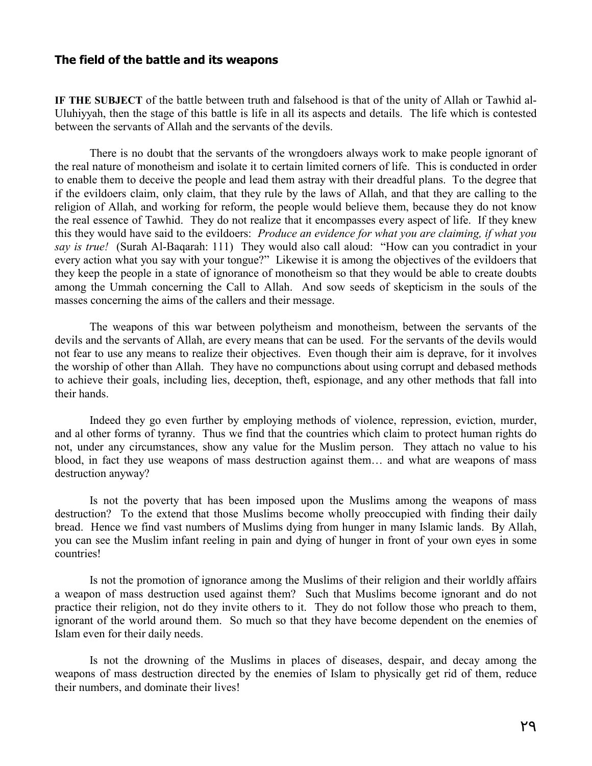#### **The field of the battle and its weapons**

**IF THE SUBJECT** of the battle between truth and falsehood is that of the unity of Allah or Tawhid al-Uluhiyyah, then the stage of this battle is life in all its aspects and details. The life which is contested between the servants of Allah and the servants of the devils.

 There is no doubt that the servants of the wrongdoers always work to make people ignorant of the real nature of monotheism and isolate it to certain limited corners of life. This is conducted in order to enable them to deceive the people and lead them astray with their dreadful plans. To the degree that if the evildoers claim, only claim, that they rule by the laws of Allah, and that they are calling to the religion of Allah, and working for reform, the people would believe them, because they do not know the real essence of Tawhid. They do not realize that it encompasses every aspect of life. If they knew this they would have said to the evildoers: *Produce an evidence for what you are claiming, if what you say is true!* (Surah Al-Baqarah: 111) They would also call aloud: "How can you contradict in your every action what you say with your tongue?" Likewise it is among the objectives of the evildoers that they keep the people in a state of ignorance of monotheism so that they would be able to create doubts among the Ummah concerning the Call to Allah. And sow seeds of skepticism in the souls of the masses concerning the aims of the callers and their message.

 The weapons of this war between polytheism and monotheism, between the servants of the devils and the servants of Allah, are every means that can be used. For the servants of the devils would not fear to use any means to realize their objectives. Even though their aim is deprave, for it involves the worship of other than Allah. They have no compunctions about using corrupt and debased methods to achieve their goals, including lies, deception, theft, espionage, and any other methods that fall into their hands.

 Indeed they go even further by employing methods of violence, repression, eviction, murder, and al other forms of tyranny. Thus we find that the countries which claim to protect human rights do not, under any circumstances, show any value for the Muslim person. They attach no value to his blood, in fact they use weapons of mass destruction against them… and what are weapons of mass destruction anyway?

 Is not the poverty that has been imposed upon the Muslims among the weapons of mass destruction? To the extend that those Muslims become wholly preoccupied with finding their daily bread. Hence we find vast numbers of Muslims dying from hunger in many Islamic lands. By Allah, you can see the Muslim infant reeling in pain and dying of hunger in front of your own eyes in some countries!

 Is not the promotion of ignorance among the Muslims of their religion and their worldly affairs a weapon of mass destruction used against them? Such that Muslims become ignorant and do not practice their religion, not do they invite others to it. They do not follow those who preach to them, ignorant of the world around them. So much so that they have become dependent on the enemies of Islam even for their daily needs.

 Is not the drowning of the Muslims in places of diseases, despair, and decay among the weapons of mass destruction directed by the enemies of Islam to physically get rid of them, reduce their numbers, and dominate their lives!